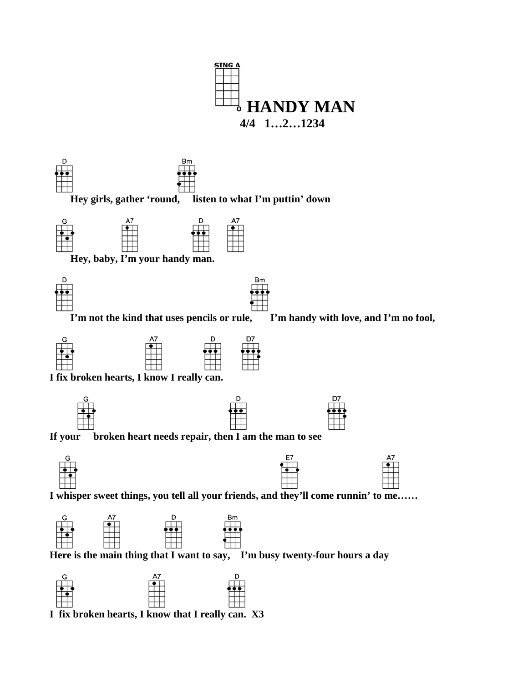